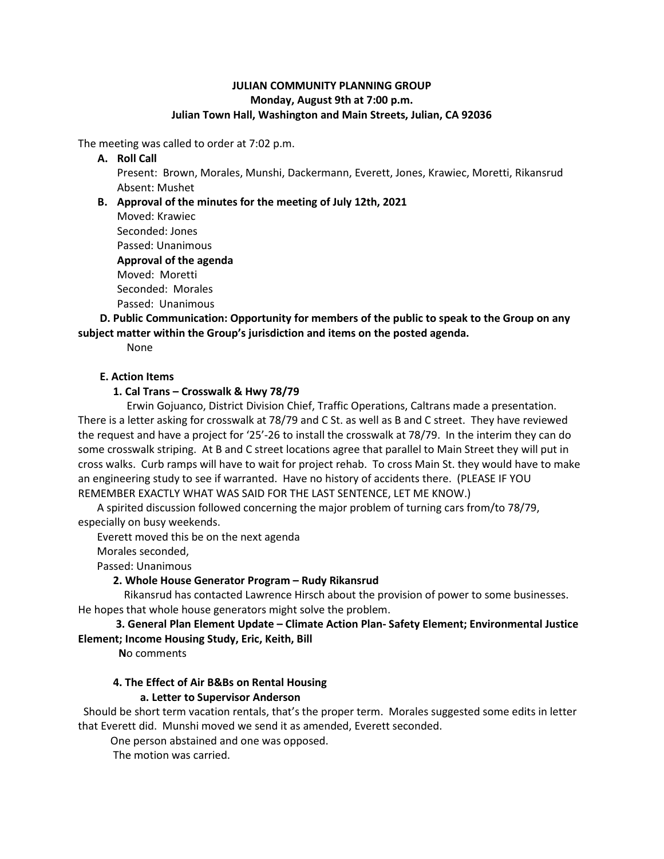### **JULIAN COMMUNITY PLANNING GROUP Monday, August 9th at 7:00 p.m. Julian Town Hall, Washington and Main Streets, Julian, CA 92036**

The meeting was called to order at 7:02 p.m.

**A. Roll Call**

Present: Brown, Morales, Munshi, Dackermann, Everett, Jones, Krawiec, Moretti, Rikansrud Absent: Mushet

**B. Approval of the minutes for the meeting of July 12th, 2021** 

Moved: Krawiec Seconded: Jones Passed: Unanimous **Approval of the agenda** Moved: Moretti Seconded: Morales Passed: Unanimous

### **D. Public Communication: Opportunity for members of the public to speak to the Group on any subject matter within the Group's jurisdiction and items on the posted agenda.**

None

### **E. Action Items**

### **1. Cal Trans – Crosswalk & Hwy 78/79**

Erwin Gojuanco, District Division Chief, Traffic Operations, Caltrans made a presentation. There is a letter asking for crosswalk at 78/79 and C St. as well as B and C street. They have reviewed the request and have a project for '25'-26 to install the crosswalk at 78/79. In the interim they can do some crosswalk striping. At B and C street locations agree that parallel to Main Street they will put in cross walks. Curb ramps will have to wait for project rehab. To cross Main St. they would have to make an engineering study to see if warranted. Have no history of accidents there. (PLEASE IF YOU REMEMBER EXACTLY WHAT WAS SAID FOR THE LAST SENTENCE, LET ME KNOW.)

 A spirited discussion followed concerning the major problem of turning cars from/to 78/79, especially on busy weekends.

Everett moved this be on the next agenda

Morales seconded,

Passed: Unanimous

# **2. Whole House Generator Program – Rudy Rikansrud**

Rikansrud has contacted Lawrence Hirsch about the provision of power to some businesses. He hopes that whole house generators might solve the problem.

# **3. General Plan Element Update – Climate Action Plan- Safety Element; Environmental Justice Element; Income Housing Study, Eric, Keith, Bill**

**N**o comments

### **4. The Effect of Air B&Bs on Rental Housing**

# **a. Letter to Supervisor Anderson**

Should be short term vacation rentals, that's the proper term. Morales suggested some edits in letter that Everett did. Munshi moved we send it as amended, Everett seconded.

One person abstained and one was opposed.

The motion was carried.